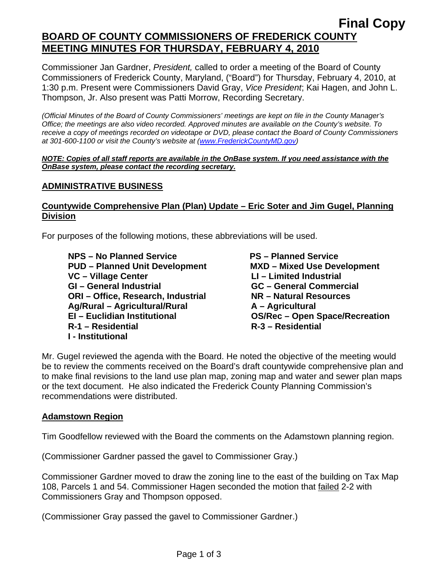# **Final Copy BOARD OF COUNTY COMMISSIONERS OF FREDERICK COUNTY MEETING MINUTES FOR THURSDAY, FEBRUARY 4, 2010**

Commissioner Jan Gardner, *President,* called to order a meeting of the Board of County Commissioners of Frederick County, Maryland, ("Board") for Thursday, February 4, 2010, at 1:30 p.m. Present were Commissioners David Gray, *Vice President*; Kai Hagen, and John L. Thompson, Jr. Also present was Patti Morrow, Recording Secretary.

*(Official Minutes of the Board of County Commissioners' meetings are kept on file in the County Manager's Office; the meetings are also video recorded. Approved minutes are available on the County's website. To receive a copy of meetings recorded on videotape or DVD, please contact the Board of County Commissioners at 301-600-1100 or visit the County's website at ([www.FrederickCountyMD.gov](http://www.frederickcountymd.gov/))* 

#### *NOTE: Copies of all staff reports are available in the OnBase system. If you need assistance with the OnBase system, please contact the recording secretary.*

#### **ADMINISTRATIVE BUSINESS**

### **Countywide Comprehensive Plan (Plan) Update – Eric Soter and Jim Gugel, Planning Division**

For purposes of the following motions, these abbreviations will be used.

**NPS – No Planned Service**  PS – Planned Service  **PUD – Planned Unit Development MXD – Mixed Use Development**  VC – Village Center **LI** – Limited Industrial **GI – General Industrial GC – General Commercial ORI – Office, Research, Industrial NR – Natural Resources Ag/Rural – Agricultural/Rural A – Agricultural R-1 – Residential R-3 – Residential I - Institutional** 

**OS/Rec – Open Space/Recreation** 

Mr. Gugel reviewed the agenda with the Board. He noted the objective of the meeting would be to review the comments received on the Board's draft countywide comprehensive plan and to make final revisions to the land use plan map, zoning map and water and sewer plan maps or the text document. He also indicated the Frederick County Planning Commission's recommendations were distributed.

#### **Adamstown Region**

Tim Goodfellow reviewed with the Board the comments on the Adamstown planning region.

(Commissioner Gardner passed the gavel to Commissioner Gray.)

Commissioner Gardner moved to draw the zoning line to the east of the building on Tax Map 108, Parcels 1 and 54. Commissioner Hagen seconded the motion that failed 2-2 with Commissioners Gray and Thompson opposed.

(Commissioner Gray passed the gavel to Commissioner Gardner.)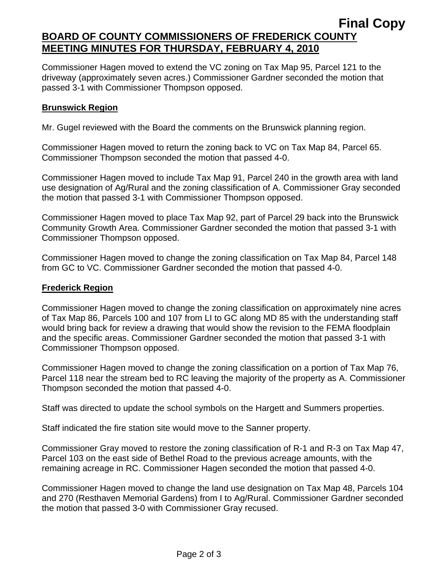## **Final Copy BOARD OF COUNTY COMMISSIONERS OF FREDERICK COUNTY MEETING MINUTES FOR THURSDAY, FEBRUARY 4, 2010**

Commissioner Hagen moved to extend the VC zoning on Tax Map 95, Parcel 121 to the driveway (approximately seven acres.) Commissioner Gardner seconded the motion that passed 3-1 with Commissioner Thompson opposed.

### **Brunswick Region**

Mr. Gugel reviewed with the Board the comments on the Brunswick planning region.

Commissioner Hagen moved to return the zoning back to VC on Tax Map 84, Parcel 65. Commissioner Thompson seconded the motion that passed 4-0.

Commissioner Hagen moved to include Tax Map 91, Parcel 240 in the growth area with land use designation of Ag/Rural and the zoning classification of A. Commissioner Gray seconded the motion that passed 3-1 with Commissioner Thompson opposed.

Commissioner Hagen moved to place Tax Map 92, part of Parcel 29 back into the Brunswick Community Growth Area. Commissioner Gardner seconded the motion that passed 3-1 with Commissioner Thompson opposed.

Commissioner Hagen moved to change the zoning classification on Tax Map 84, Parcel 148 from GC to VC. Commissioner Gardner seconded the motion that passed 4-0.

#### **Frederick Region**

Commissioner Hagen moved to change the zoning classification on approximately nine acres of Tax Map 86, Parcels 100 and 107 from LI to GC along MD 85 with the understanding staff would bring back for review a drawing that would show the revision to the FEMA floodplain and the specific areas. Commissioner Gardner seconded the motion that passed 3-1 with Commissioner Thompson opposed.

Commissioner Hagen moved to change the zoning classification on a portion of Tax Map 76, Parcel 118 near the stream bed to RC leaving the majority of the property as A. Commissioner Thompson seconded the motion that passed 4-0.

Staff was directed to update the school symbols on the Hargett and Summers properties.

Staff indicated the fire station site would move to the Sanner property.

Commissioner Gray moved to restore the zoning classification of R-1 and R-3 on Tax Map 47, Parcel 103 on the east side of Bethel Road to the previous acreage amounts, with the remaining acreage in RC. Commissioner Hagen seconded the motion that passed 4-0.

Commissioner Hagen moved to change the land use designation on Tax Map 48, Parcels 104 and 270 (Resthaven Memorial Gardens) from I to Ag/Rural. Commissioner Gardner seconded the motion that passed 3-0 with Commissioner Gray recused.